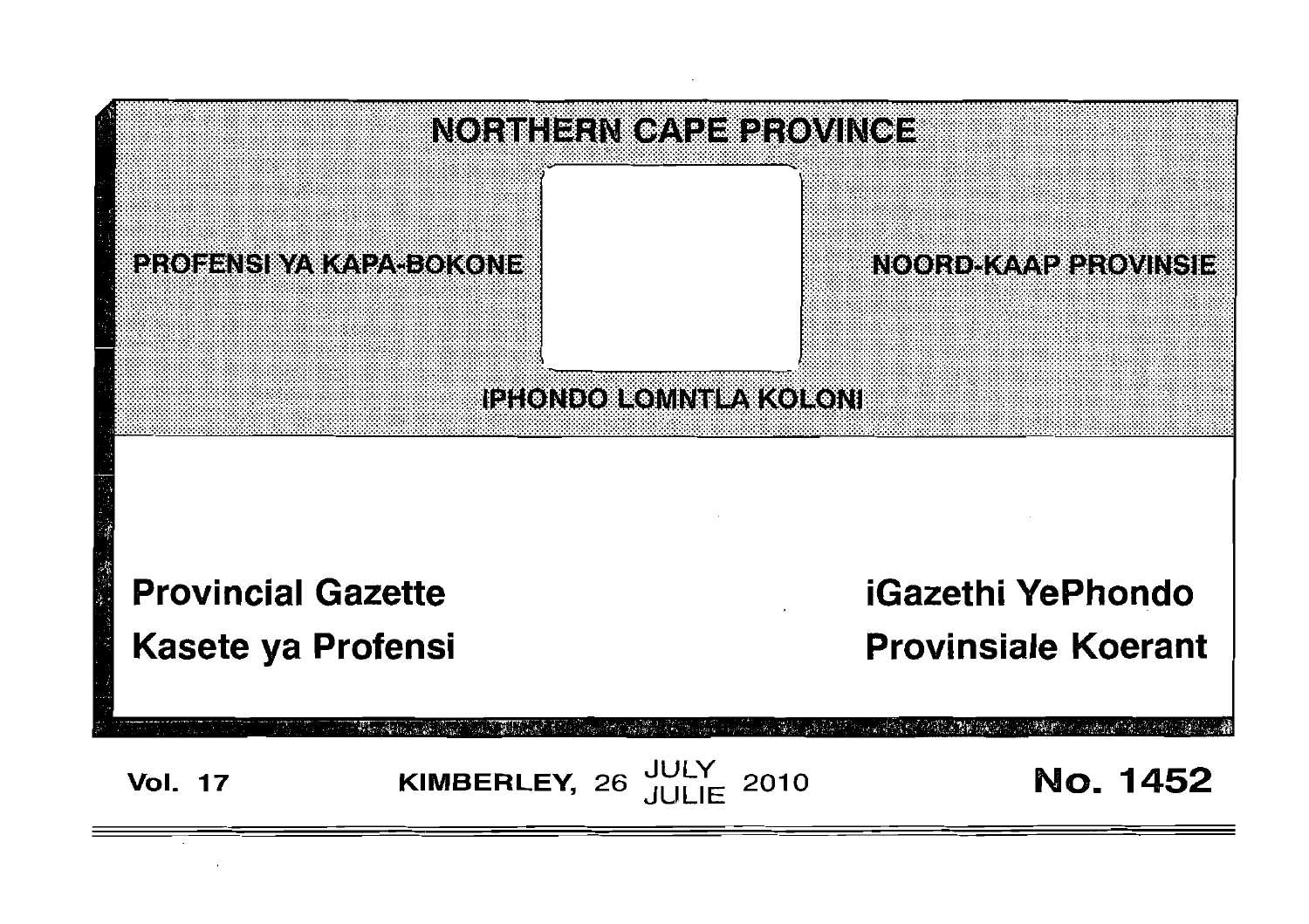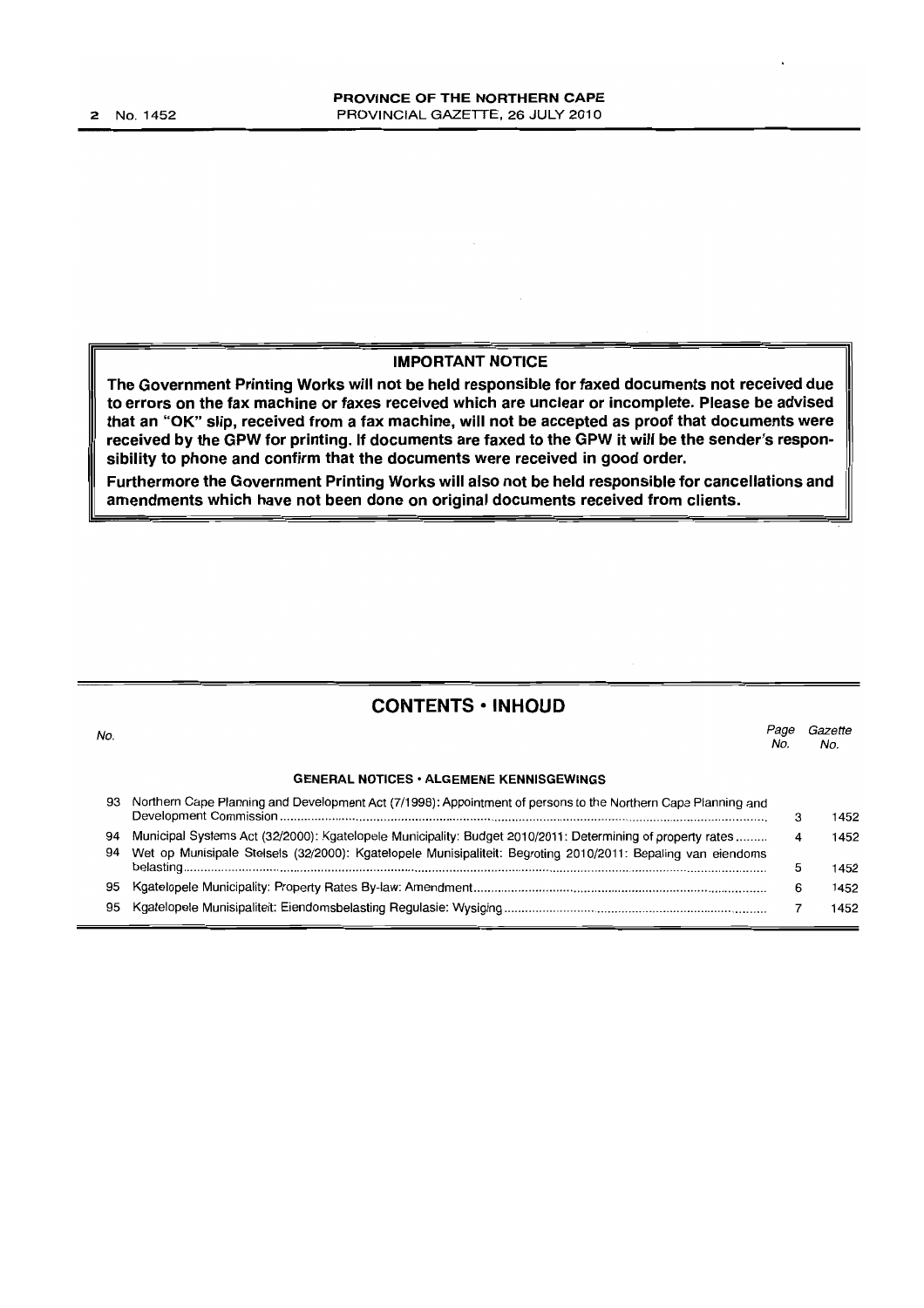#### **IMPORTANT NOTICE**

**The Government Printing Works will not be held responsible for faxed documents not received due to errors on the fax machine or faxes received which are unclear or incomplete. Please be advised that an "OK" slip, received from a fax machine, will not be accepted as proof that documents were received by the GPW for printing. If documents are faxed to the GPW it will be the sender's responsibility to phone and confirm that the documents were received in good order.**

**Furthermore the Government Printing Works will also not be held responsible for cancellations and amendments which have not been done on original documents received from clients.**

# **CONTENTS • INHOUD**

| No.      |                                                                                                                                                                                                                            | Page<br>Nο | Gazette<br>No. |
|----------|----------------------------------------------------------------------------------------------------------------------------------------------------------------------------------------------------------------------------|------------|----------------|
|          | <b>GENERAL NOTICES • ALGEMENE KENNISGEWINGS</b>                                                                                                                                                                            |            |                |
| 93       | Northern Cape Planning and Development Act (7/1998): Appointment of persons to the Northern Cape Planning and                                                                                                              | з          | 1452           |
| 94<br>94 | Municipal Systems Act (32/2000): Kgatelopele Municipality: Budget 2010/2011: Determining of property rates<br>Wet op Munisipale Stelsels (32/2000): Kgatelopele Munisipaliteit: Begroting 2010/2011: Bepaling van eiendoms | 4          | 1452           |
|          |                                                                                                                                                                                                                            | 5          | 1452           |
| 95       |                                                                                                                                                                                                                            | 6          | 1452           |
| 95       |                                                                                                                                                                                                                            |            | 1452           |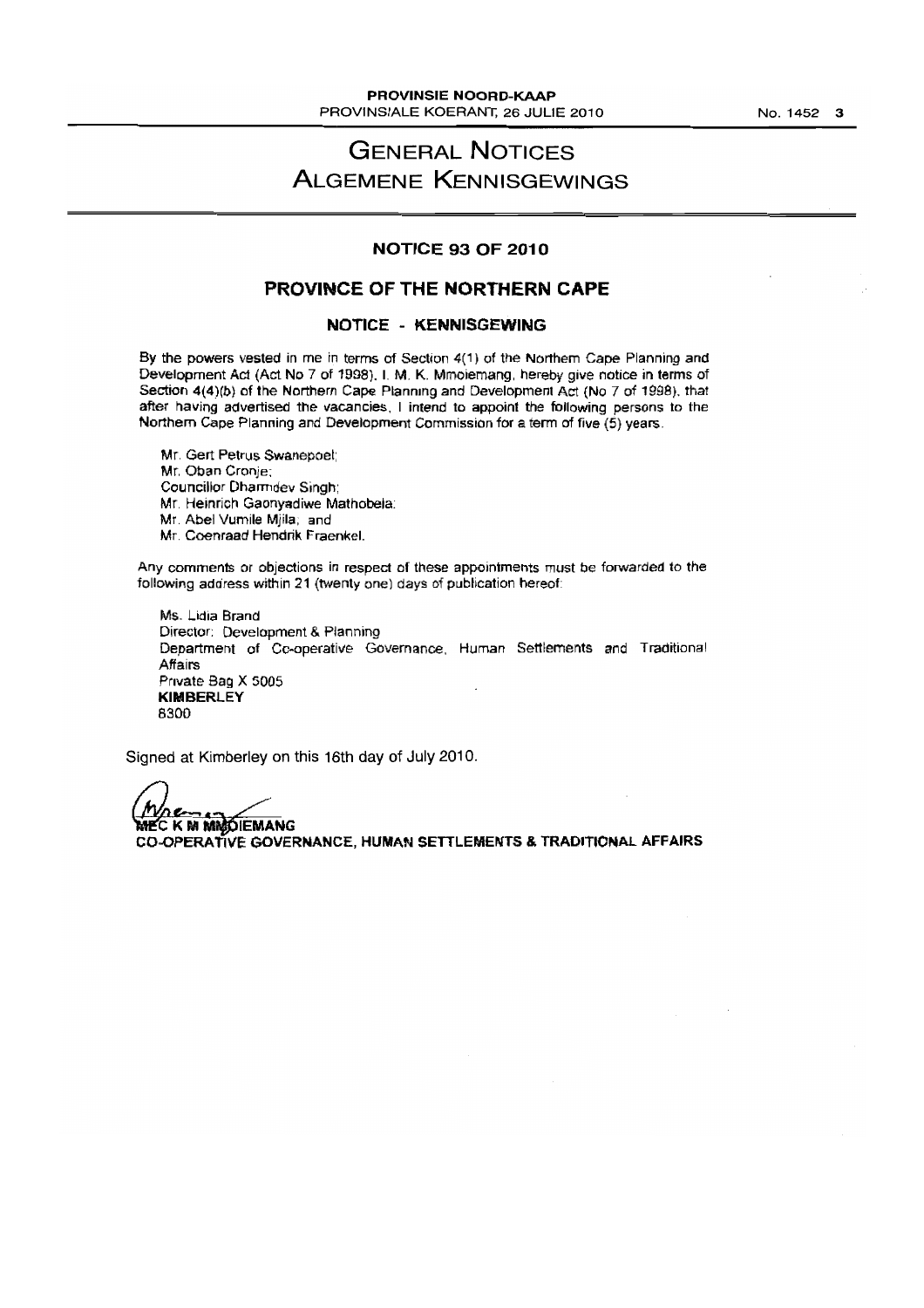# **GENERAL NOTICES ALGEMENE KENNISGEWINGS**

#### **NOTICE 93 OF 2010**

# **PROVINCE OF THE NORTHERN CAPE**

#### **NOTICE - KENNISGEWING**

By the powers vested in me in terms of Section 4(1) of the Northern Cape Planning and Development Act (Act No 7 of 1998). I. M. K. Mmoiemang, hereby give notice in terms of Section 4(4)(b) of the Northern Cape Planmng and Development Act (No 7 of 1998). that after having advertised the vacancies, I intend to appoint the following persons to the Northern Cape Planning and Development Commission for a term of five (5) years

Mr, Gert Petrus Swanepoet; Mr, Oban Cronje: Councillor Dharrndev Singh; Mr. Heinricn Gaonyadiwe Mathobela: Mr. Abel Vumile Mjila; and Mr. Coenraad Hendrik Fraenkel.

Any comments or objections in respect of these appointments must be forwarded to the following address within 21 (twenty one) days of publication hereof

Ms. Lidia Brand Director: Development & Planning Department of Co-operative Governance, Human Settlements and Traditional Affairs Private Bag X *5005* **KIMBERLEY** 8300

Signed at Kimberley on this 16th day of July 2010.

**RIECKMMMODIEMANG CO-OPERATIVE GOVERNANCE, HUMAN SETILEMENTS & TRADITIONAL AFFAIRS**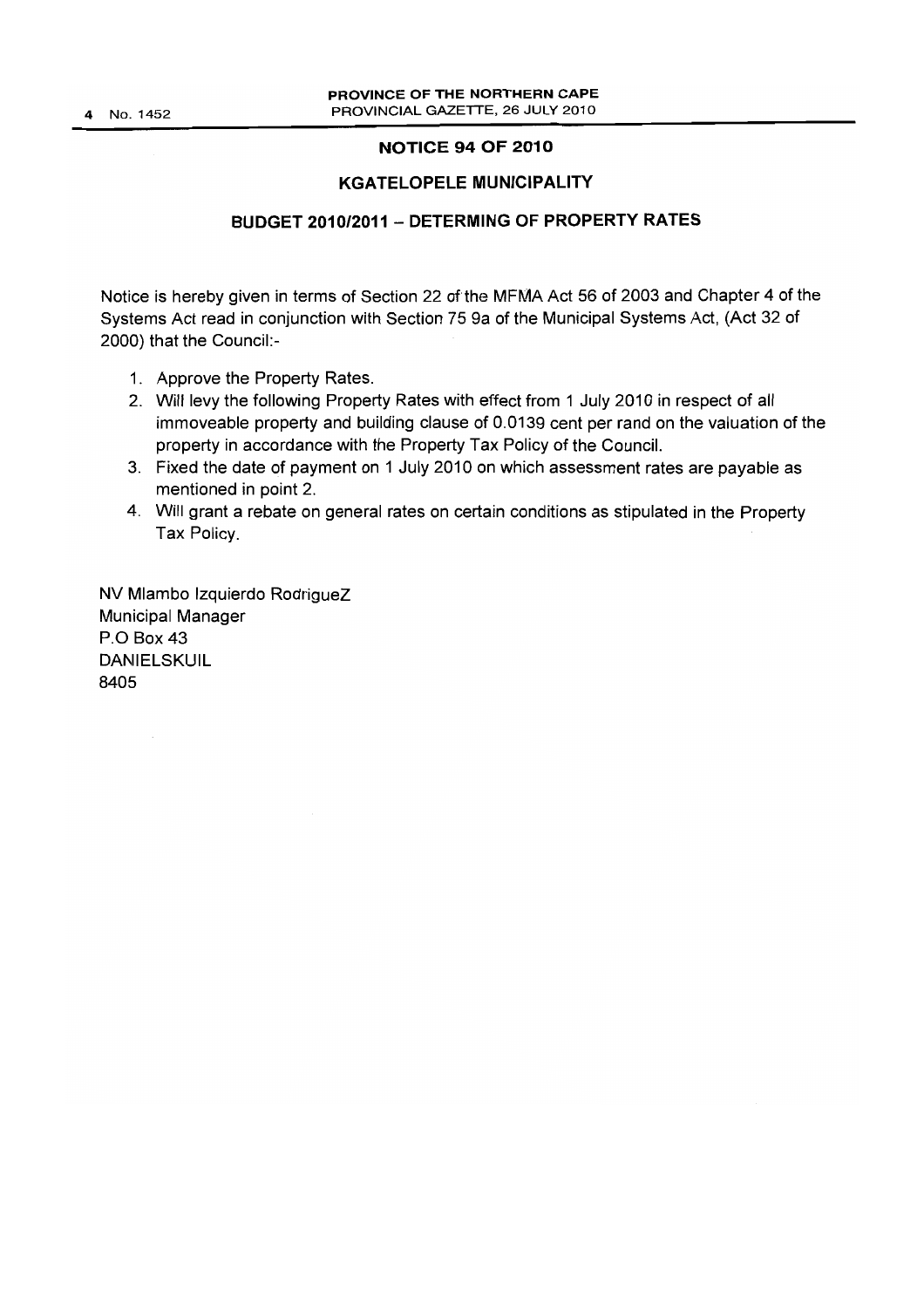4 No. 1452

# **NOTICE 94 OF 2010**

# **KGATELOPELE MUNICIPALITY**

# **BUDGET 2010/2011 - DETERMING OF PROPERTY RATES**

Notice is hereby given in terms of Section 22 of the MFMA Act 56 of 2003 and Chapter 4 of the Systems Act read in conjunction with Section 75 9a of the Municipal Systems Act, (Act 32 of 2000) that the Council:-

- 1. Approve the Property Rates.
- 2. Will levy the following Property Rates with effect from 1 July 2010 in respect of all immoveable property and building clause of 0.0139 cent per rand on the valuation of the property in accordance with the Property Tax Policy of the Council.
- 3. Fixed the date of payment on 1 July 2010 on which assessment rates are payable as mentioned in point 2.
- 4. Will grant a rebate on general rates on certain conditions as stipulated in the Property Tax Policy.

NV Mlambo Izquierdo RodrigueZ Municipal Manager P.O Box 43 DANIELSKUIL 8405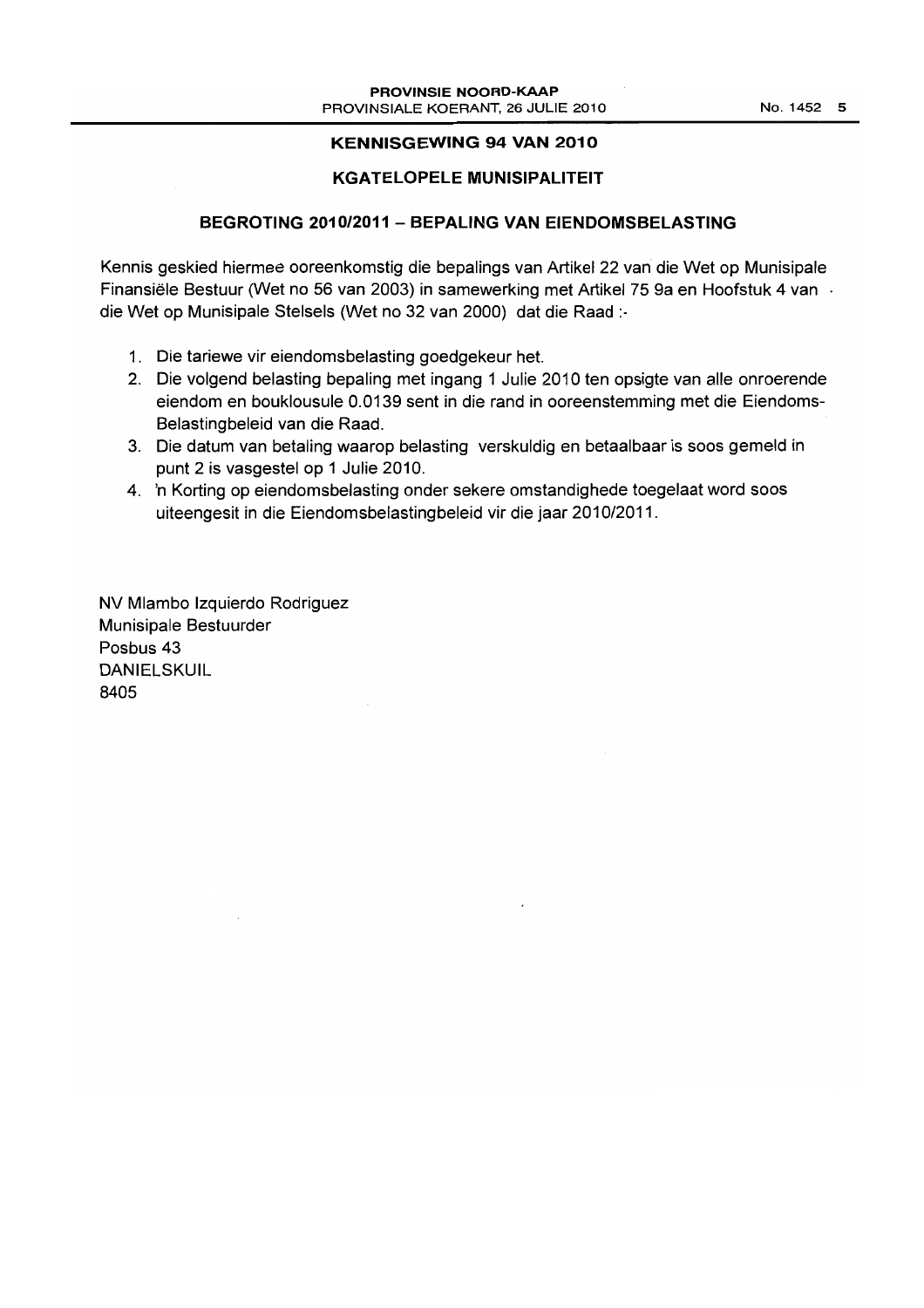## **KENNISGEWING 94 VAN 2010**

# **KGATELOPELE MUNISIPALITEIT**

# **BEGROTING 2010/2011 - BEPALING VAN EIENDOMSBELASTING**

Kennis geskied hiermee ooreenkomstig die bepalings van Artikel 22 van die Wet op Munisipale Finansiele Bestuur (Wet no 56 van 2003) in samewerking met Artikel 75 9a en Hoofstuk 4 van die Wet op Munisipale Stelsels (Wet no 32 van 2000) dat die Raad :.

- 1. Die tariewe vir eiendomsbelasting goedgekeur het.
- 2. Die volgend belasting bepaling met ingang 1 Julie 2010 ten opsigte van aile onroerende eiendom en bouklousule 0.0139 sent in die rand in ooreenstemming met die Eiendoms-Belastingbeleid van die Raad.
- 3. Die datum van betaling waarop belasting verskuldig en betaalbaar is soos gemeld in punt 2 is vasgestel op 1 Julie 2010.
- 4. 'n Korting op eiendomsbelasting onder sekere omstandighede toegelaat word soos uiteengesit in die Eiendomsbelastingbeleid vir die jaar 2010/2011.

NV Mlambo Izquierdo Rodriguez Munisipale Bestuurder Posbus 43 DANIELSKUIL 8405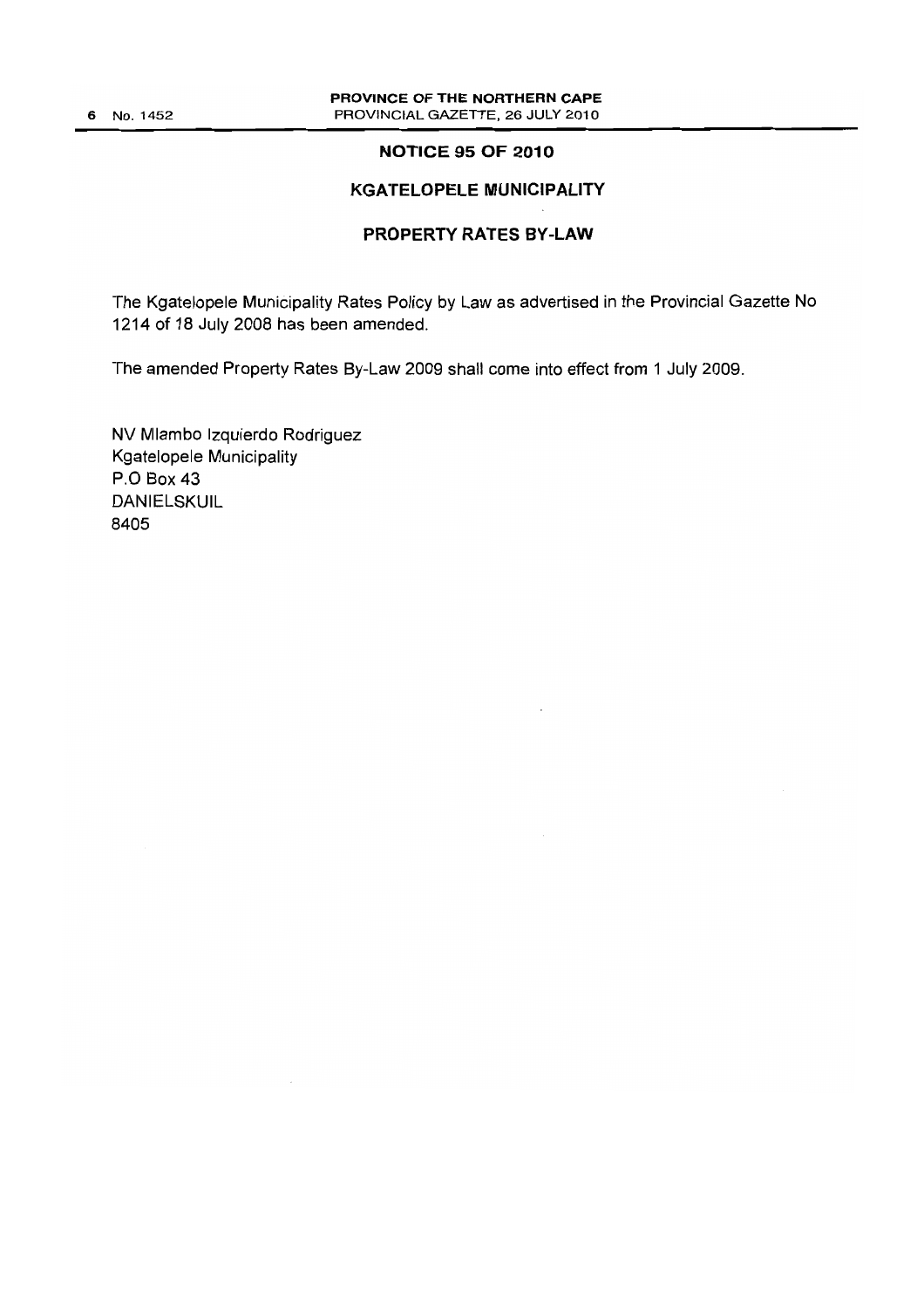# **NOTICE 95 OF 2010**

# **KGATELOPELE MUNICIPALITY**

# **PROPERTY RATES BY-LAW**

The Kgatelopele Municipality Rates Policy by Law as advertised in the Provincial Gazette No 1214 of 18 July 2008 has been amended.

The amended Property Rates By-Law 2009 shall come into effect from 1 July 2009.

NV N1lambo Izquierdo Rodriguez Kgatelopele Municipality P.O Box 43 DANIELSKUIL 8405